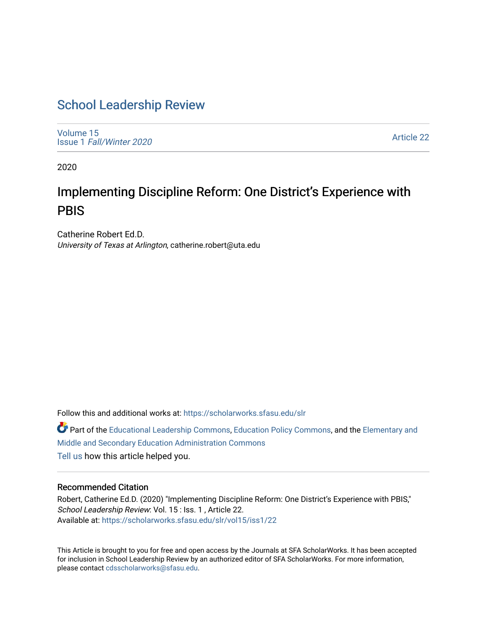# [School Leadership Review](https://scholarworks.sfasu.edu/slr)

[Volume 15](https://scholarworks.sfasu.edu/slr/vol15) Issue 1 [Fall/Winter 2020](https://scholarworks.sfasu.edu/slr/vol15/iss1) 

[Article 22](https://scholarworks.sfasu.edu/slr/vol15/iss1/22) 

2020

# Implementing Discipline Reform: One District's Experience with **PBIS**

Catherine Robert Ed.D. University of Texas at Arlington, catherine.robert@uta.edu

Follow this and additional works at: [https://scholarworks.sfasu.edu/slr](https://scholarworks.sfasu.edu/slr?utm_source=scholarworks.sfasu.edu%2Fslr%2Fvol15%2Fiss1%2F22&utm_medium=PDF&utm_campaign=PDFCoverPages) 

Part of the [Educational Leadership Commons,](http://network.bepress.com/hgg/discipline/1230?utm_source=scholarworks.sfasu.edu%2Fslr%2Fvol15%2Fiss1%2F22&utm_medium=PDF&utm_campaign=PDFCoverPages) [Education Policy Commons](http://network.bepress.com/hgg/discipline/1026?utm_source=scholarworks.sfasu.edu%2Fslr%2Fvol15%2Fiss1%2F22&utm_medium=PDF&utm_campaign=PDFCoverPages), and the [Elementary and](http://network.bepress.com/hgg/discipline/790?utm_source=scholarworks.sfasu.edu%2Fslr%2Fvol15%2Fiss1%2F22&utm_medium=PDF&utm_campaign=PDFCoverPages) [Middle and Secondary Education Administration Commons](http://network.bepress.com/hgg/discipline/790?utm_source=scholarworks.sfasu.edu%2Fslr%2Fvol15%2Fiss1%2F22&utm_medium=PDF&utm_campaign=PDFCoverPages)  [Tell us](http://sfasu.qualtrics.com/SE/?SID=SV_0qS6tdXftDLradv) how this article helped you.

# Recommended Citation

Robert, Catherine Ed.D. (2020) "Implementing Discipline Reform: One District's Experience with PBIS," School Leadership Review: Vol. 15 : Iss. 1, Article 22. Available at: [https://scholarworks.sfasu.edu/slr/vol15/iss1/22](https://scholarworks.sfasu.edu/slr/vol15/iss1/22?utm_source=scholarworks.sfasu.edu%2Fslr%2Fvol15%2Fiss1%2F22&utm_medium=PDF&utm_campaign=PDFCoverPages) 

This Article is brought to you for free and open access by the Journals at SFA ScholarWorks. It has been accepted for inclusion in School Leadership Review by an authorized editor of SFA ScholarWorks. For more information, please contact [cdsscholarworks@sfasu.edu.](mailto:cdsscholarworks@sfasu.edu)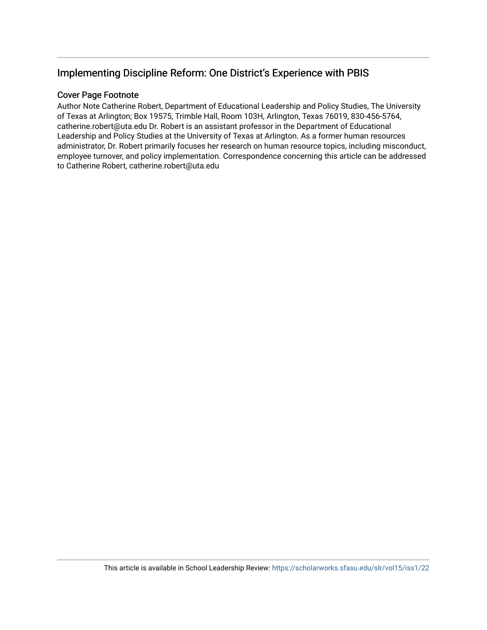# Implementing Discipline Reform: One District's Experience with PBIS

# Cover Page Footnote

Author Note Catherine Robert, Department of Educational Leadership and Policy Studies, The University of Texas at Arlington; Box 19575, Trimble Hall, Room 103H, Arlington, Texas 76019, 830-456-5764, catherine.robert@uta.edu Dr. Robert is an assistant professor in the Department of Educational Leadership and Policy Studies at the University of Texas at Arlington. As a former human resources administrator, Dr. Robert primarily focuses her research on human resource topics, including misconduct, employee turnover, and policy implementation. Correspondence concerning this article can be addressed to Catherine Robert, catherine.robert@uta.edu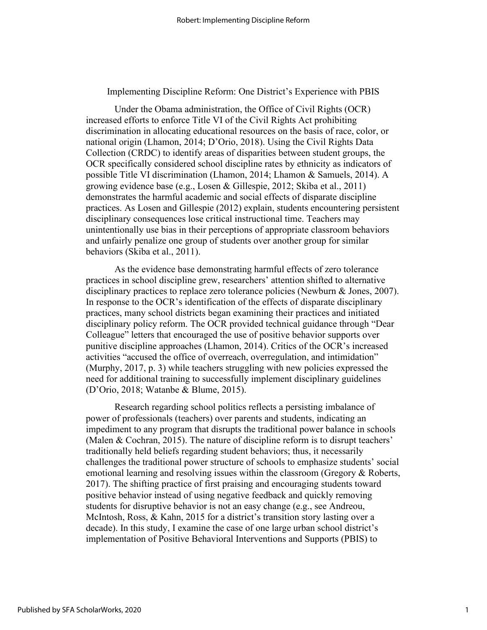Implementing Discipline Reform: One District's Experience with PBIS

Under the Obama administration, the Office of Civil Rights (OCR) increased efforts to enforce Title VI of the Civil Rights Act prohibiting discrimination in allocating educational resources on the basis of race, color, or national origin (Lhamon, 2014; D'Orio, 2018). Using the Civil Rights Data Collection (CRDC) to identify areas of disparities between student groups, the OCR specifically considered school discipline rates by ethnicity as indicators of possible Title VI discrimination (Lhamon, 2014; Lhamon & Samuels, 2014). A growing evidence base (e.g., Losen & Gillespie, 2012; Skiba et al., 2011) demonstrates the harmful academic and social effects of disparate discipline practices. As Losen and Gillespie (2012) explain, students encountering persistent disciplinary consequences lose critical instructional time. Teachers may unintentionally use bias in their perceptions of appropriate classroom behaviors and unfairly penalize one group of students over another group for similar behaviors (Skiba et al., 2011).

As the evidence base demonstrating harmful effects of zero tolerance practices in school discipline grew, researchers' attention shifted to alternative disciplinary practices to replace zero tolerance policies (Newburn & Jones, 2007). In response to the OCR's identification of the effects of disparate disciplinary practices, many school districts began examining their practices and initiated disciplinary policy reform. The OCR provided technical guidance through "Dear Colleague" letters that encouraged the use of positive behavior supports over punitive discipline approaches (Lhamon, 2014). Critics of the OCR's increased activities "accused the office of overreach, overregulation, and intimidation" (Murphy, 2017, p. 3) while teachers struggling with new policies expressed the need for additional training to successfully implement disciplinary guidelines (D'Orio, 2018; Watanbe & Blume, 2015).

Research regarding school politics reflects a persisting imbalance of power of professionals (teachers) over parents and students, indicating an impediment to any program that disrupts the traditional power balance in schools (Malen & Cochran, 2015). The nature of discipline reform is to disrupt teachers' traditionally held beliefs regarding student behaviors; thus, it necessarily challenges the traditional power structure of schools to emphasize students' social emotional learning and resolving issues within the classroom (Gregory & Roberts, 2017). The shifting practice of first praising and encouraging students toward positive behavior instead of using negative feedback and quickly removing students for disruptive behavior is not an easy change (e.g., see Andreou, McIntosh, Ross, & Kahn, 2015 for a district's transition story lasting over a decade). In this study, I examine the case of one large urban school district's implementation of Positive Behavioral Interventions and Supports (PBIS) to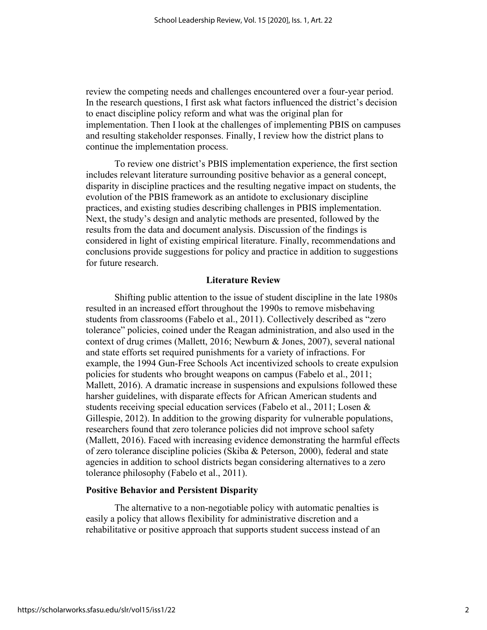review the competing needs and challenges encountered over a four-year period. In the research questions, I first ask what factors influenced the district's decision to enact discipline policy reform and what was the original plan for implementation. Then I look at the challenges of implementing PBIS on campuses and resulting stakeholder responses. Finally, I review how the district plans to continue the implementation process.

To review one district's PBIS implementation experience, the first section includes relevant literature surrounding positive behavior as a general concept, disparity in discipline practices and the resulting negative impact on students, the evolution of the PBIS framework as an antidote to exclusionary discipline practices, and existing studies describing challenges in PBIS implementation. Next, the study's design and analytic methods are presented, followed by the results from the data and document analysis. Discussion of the findings is considered in light of existing empirical literature. Finally, recommendations and conclusions provide suggestions for policy and practice in addition to suggestions for future research.

#### **Literature Review**

Shifting public attention to the issue of student discipline in the late 1980s resulted in an increased effort throughout the 1990s to remove misbehaving students from classrooms (Fabelo et al., 2011). Collectively described as "zero tolerance" policies, coined under the Reagan administration, and also used in the context of drug crimes (Mallett, 2016; Newburn & Jones, 2007), several national and state efforts set required punishments for a variety of infractions. For example, the 1994 Gun-Free Schools Act incentivized schools to create expulsion policies for students who brought weapons on campus (Fabelo et al., 2011; Mallett, 2016). A dramatic increase in suspensions and expulsions followed these harsher guidelines, with disparate effects for African American students and students receiving special education services (Fabelo et al., 2011; Losen & Gillespie, 2012). In addition to the growing disparity for vulnerable populations, researchers found that zero tolerance policies did not improve school safety (Mallett, 2016). Faced with increasing evidence demonstrating the harmful effects of zero tolerance discipline policies (Skiba & Peterson, 2000), federal and state agencies in addition to school districts began considering alternatives to a zero tolerance philosophy (Fabelo et al., 2011).

#### **Positive Behavior and Persistent Disparity**

The alternative to a non-negotiable policy with automatic penalties is easily a policy that allows flexibility for administrative discretion and a rehabilitative or positive approach that supports student success instead of an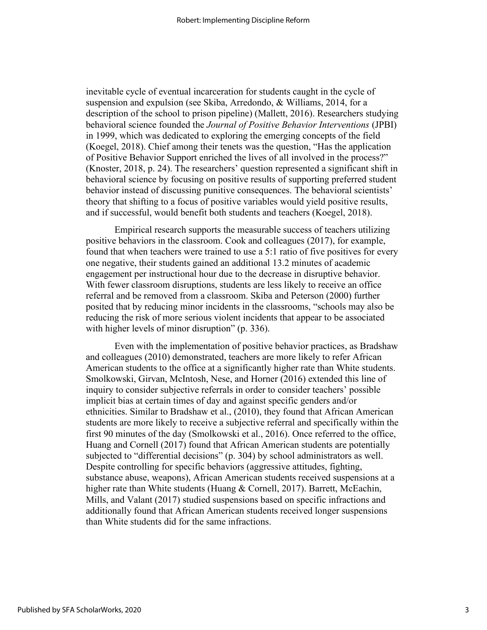inevitable cycle of eventual incarceration for students caught in the cycle of suspension and expulsion (see Skiba, Arredondo, & Williams, 2014, for a description of the school to prison pipeline) (Mallett, 2016). Researchers studying behavioral science founded the *Journal of Positive Behavior Interventions* (JPBI) in 1999, which was dedicated to exploring the emerging concepts of the field (Koegel, 2018). Chief among their tenets was the question, "Has the application of Positive Behavior Support enriched the lives of all involved in the process?" (Knoster, 2018, p. 24). The researchers' question represented a significant shift in behavioral science by focusing on positive results of supporting preferred student behavior instead of discussing punitive consequences. The behavioral scientists' theory that shifting to a focus of positive variables would yield positive results, and if successful, would benefit both students and teachers (Koegel, 2018).

Empirical research supports the measurable success of teachers utilizing positive behaviors in the classroom. Cook and colleagues (2017), for example, found that when teachers were trained to use a 5:1 ratio of five positives for every one negative, their students gained an additional 13.2 minutes of academic engagement per instructional hour due to the decrease in disruptive behavior. With fewer classroom disruptions, students are less likely to receive an office referral and be removed from a classroom. Skiba and Peterson (2000) further posited that by reducing minor incidents in the classrooms, "schools may also be reducing the risk of more serious violent incidents that appear to be associated with higher levels of minor disruption" (p. 336).

Even with the implementation of positive behavior practices, as Bradshaw and colleagues (2010) demonstrated, teachers are more likely to refer African American students to the office at a significantly higher rate than White students. Smolkowski, Girvan, McIntosh, Nese, and Horner (2016) extended this line of inquiry to consider subjective referrals in order to consider teachers' possible implicit bias at certain times of day and against specific genders and/or ethnicities. Similar to Bradshaw et al., (2010), they found that African American students are more likely to receive a subjective referral and specifically within the first 90 minutes of the day (Smolkowski et al., 2016). Once referred to the office, Huang and Cornell (2017) found that African American students are potentially subjected to "differential decisions" (p. 304) by school administrators as well. Despite controlling for specific behaviors (aggressive attitudes, fighting, substance abuse, weapons), African American students received suspensions at a higher rate than White students (Huang & Cornell, 2017). Barrett, McEachin, Mills, and Valant (2017) studied suspensions based on specific infractions and additionally found that African American students received longer suspensions than White students did for the same infractions.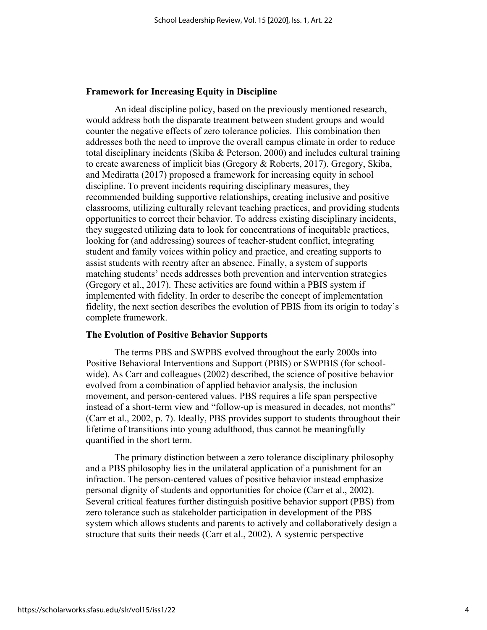#### **Framework for Increasing Equity in Discipline**

An ideal discipline policy, based on the previously mentioned research, would address both the disparate treatment between student groups and would counter the negative effects of zero tolerance policies. This combination then addresses both the need to improve the overall campus climate in order to reduce total disciplinary incidents (Skiba & Peterson, 2000) and includes cultural training to create awareness of implicit bias (Gregory & Roberts, 2017). Gregory, Skiba, and Mediratta (2017) proposed a framework for increasing equity in school discipline. To prevent incidents requiring disciplinary measures, they recommended building supportive relationships, creating inclusive and positive classrooms, utilizing culturally relevant teaching practices, and providing students opportunities to correct their behavior. To address existing disciplinary incidents, they suggested utilizing data to look for concentrations of inequitable practices, looking for (and addressing) sources of teacher-student conflict, integrating student and family voices within policy and practice, and creating supports to assist students with reentry after an absence. Finally, a system of supports matching students' needs addresses both prevention and intervention strategies (Gregory et al., 2017). These activities are found within a PBIS system if implemented with fidelity. In order to describe the concept of implementation fidelity, the next section describes the evolution of PBIS from its origin to today's complete framework.

# **The Evolution of Positive Behavior Supports**

The terms PBS and SWPBS evolved throughout the early 2000s into Positive Behavioral Interventions and Support (PBIS) or SWPBIS (for schoolwide). As Carr and colleagues (2002) described, the science of positive behavior evolved from a combination of applied behavior analysis, the inclusion movement, and person-centered values. PBS requires a life span perspective instead of a short-term view and "follow-up is measured in decades, not months" (Carr et al., 2002, p. 7). Ideally, PBS provides support to students throughout their lifetime of transitions into young adulthood, thus cannot be meaningfully quantified in the short term.

The primary distinction between a zero tolerance disciplinary philosophy and a PBS philosophy lies in the unilateral application of a punishment for an infraction. The person-centered values of positive behavior instead emphasize personal dignity of students and opportunities for choice (Carr et al., 2002). Several critical features further distinguish positive behavior support (PBS) from zero tolerance such as stakeholder participation in development of the PBS system which allows students and parents to actively and collaboratively design a structure that suits their needs (Carr et al., 2002). A systemic perspective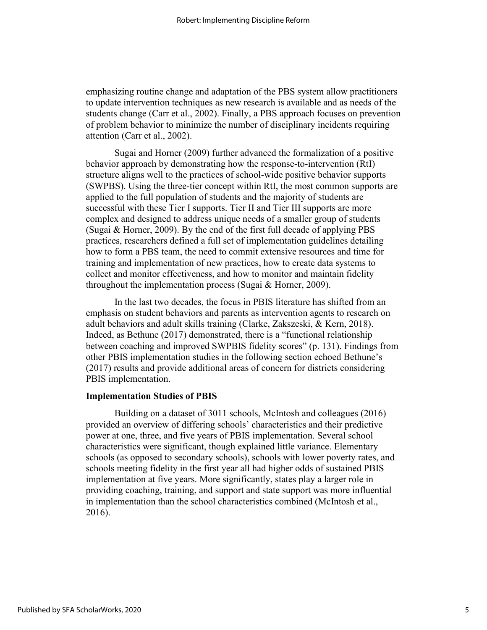emphasizing routine change and adaptation of the PBS system allow practitioners to update intervention techniques as new research is available and as needs of the students change (Carr et al., 2002). Finally, a PBS approach focuses on prevention of problem behavior to minimize the number of disciplinary incidents requiring attention (Carr et al., 2002).

Sugai and Horner (2009) further advanced the formalization of a positive behavior approach by demonstrating how the response-to-intervention (RtI) structure aligns well to the practices of school-wide positive behavior supports (SWPBS). Using the three-tier concept within RtI, the most common supports are applied to the full population of students and the majority of students are successful with these Tier I supports. Tier II and Tier III supports are more complex and designed to address unique needs of a smaller group of students (Sugai & Horner, 2009). By the end of the first full decade of applying PBS practices, researchers defined a full set of implementation guidelines detailing how to form a PBS team, the need to commit extensive resources and time for training and implementation of new practices, how to create data systems to collect and monitor effectiveness, and how to monitor and maintain fidelity throughout the implementation process (Sugai & Horner, 2009).

In the last two decades, the focus in PBIS literature has shifted from an emphasis on student behaviors and parents as intervention agents to research on adult behaviors and adult skills training (Clarke, Zakszeski, & Kern, 2018). Indeed, as Bethune (2017) demonstrated, there is a "functional relationship between coaching and improved SWPBIS fidelity scores" (p. 131). Findings from other PBIS implementation studies in the following section echoed Bethune's (2017) results and provide additional areas of concern for districts considering PBIS implementation.

#### **Implementation Studies of PBIS**

Building on a dataset of 3011 schools, McIntosh and colleagues (2016) provided an overview of differing schools' characteristics and their predictive power at one, three, and five years of PBIS implementation. Several school characteristics were significant, though explained little variance. Elementary schools (as opposed to secondary schools), schools with lower poverty rates, and schools meeting fidelity in the first year all had higher odds of sustained PBIS implementation at five years. More significantly, states play a larger role in providing coaching, training, and support and state support was more influential in implementation than the school characteristics combined (McIntosh et al., 2016).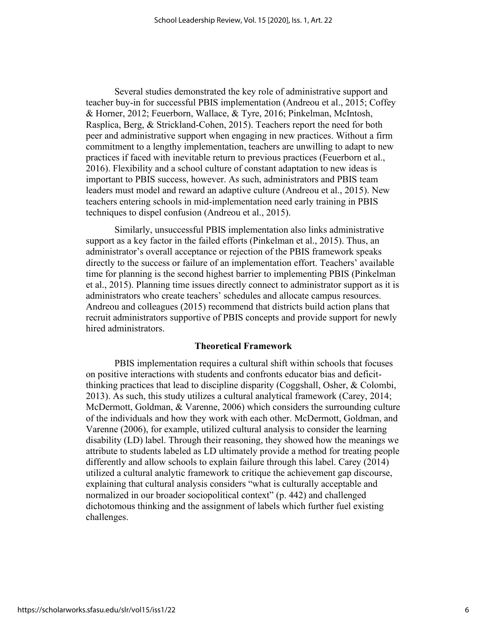Several studies demonstrated the key role of administrative support and teacher buy-in for successful PBIS implementation (Andreou et al., 2015; Coffey & Horner, 2012; Feuerborn, Wallace, & Tyre, 2016; Pinkelman, McIntosh, Rasplica, Berg, & Strickland-Cohen, 2015). Teachers report the need for both peer and administrative support when engaging in new practices. Without a firm commitment to a lengthy implementation, teachers are unwilling to adapt to new practices if faced with inevitable return to previous practices (Feuerborn et al., 2016). Flexibility and a school culture of constant adaptation to new ideas is important to PBIS success, however. As such, administrators and PBIS team leaders must model and reward an adaptive culture (Andreou et al., 2015). New teachers entering schools in mid-implementation need early training in PBIS techniques to dispel confusion (Andreou et al., 2015).

Similarly, unsuccessful PBIS implementation also links administrative support as a key factor in the failed efforts (Pinkelman et al., 2015). Thus, an administrator's overall acceptance or rejection of the PBIS framework speaks directly to the success or failure of an implementation effort. Teachers' available time for planning is the second highest barrier to implementing PBIS (Pinkelman et al., 2015). Planning time issues directly connect to administrator support as it is administrators who create teachers' schedules and allocate campus resources. Andreou and colleagues (2015) recommend that districts build action plans that recruit administrators supportive of PBIS concepts and provide support for newly hired administrators.

#### **Theoretical Framework**

PBIS implementation requires a cultural shift within schools that focuses on positive interactions with students and confronts educator bias and deficitthinking practices that lead to discipline disparity (Coggshall, Osher, & Colombi, 2013). As such, this study utilizes a cultural analytical framework (Carey, 2014; McDermott, Goldman, & Varenne, 2006) which considers the surrounding culture of the individuals and how they work with each other. McDermott, Goldman, and Varenne (2006), for example, utilized cultural analysis to consider the learning disability (LD) label. Through their reasoning, they showed how the meanings we attribute to students labeled as LD ultimately provide a method for treating people differently and allow schools to explain failure through this label. Carey (2014) utilized a cultural analytic framework to critique the achievement gap discourse, explaining that cultural analysis considers "what is culturally acceptable and normalized in our broader sociopolitical context" (p. 442) and challenged dichotomous thinking and the assignment of labels which further fuel existing challenges.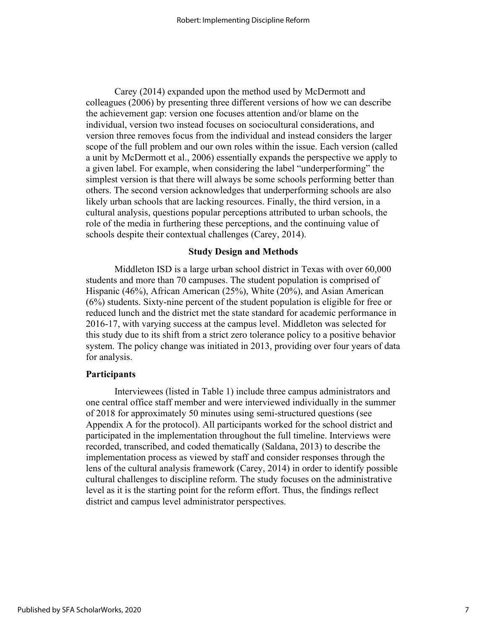Carey (2014) expanded upon the method used by McDermott and colleagues (2006) by presenting three different versions of how we can describe the achievement gap: version one focuses attention and/or blame on the individual, version two instead focuses on sociocultural considerations, and version three removes focus from the individual and instead considers the larger scope of the full problem and our own roles within the issue. Each version (called a unit by McDermott et al., 2006) essentially expands the perspective we apply to a given label. For example, when considering the label "underperforming" the simplest version is that there will always be some schools performing better than others. The second version acknowledges that underperforming schools are also likely urban schools that are lacking resources. Finally, the third version, in a cultural analysis, questions popular perceptions attributed to urban schools, the role of the media in furthering these perceptions, and the continuing value of schools despite their contextual challenges (Carey, 2014).

#### **Study Design and Methods**

Middleton ISD is a large urban school district in Texas with over 60,000 students and more than 70 campuses. The student population is comprised of Hispanic (46%), African American (25%), White (20%), and Asian American (6%) students. Sixty-nine percent of the student population is eligible for free or reduced lunch and the district met the state standard for academic performance in 2016-17, with varying success at the campus level. Middleton was selected for this study due to its shift from a strict zero tolerance policy to a positive behavior system. The policy change was initiated in 2013, providing over four years of data for analysis.

#### **Participants**

Interviewees (listed in Table 1) include three campus administrators and one central office staff member and were interviewed individually in the summer of 2018 for approximately 50 minutes using semi-structured questions (see Appendix A for the protocol). All participants worked for the school district and participated in the implementation throughout the full timeline. Interviews were recorded, transcribed, and coded thematically (Saldana, 2013) to describe the implementation process as viewed by staff and consider responses through the lens of the cultural analysis framework (Carey, 2014) in order to identify possible cultural challenges to discipline reform. The study focuses on the administrative level as it is the starting point for the reform effort. Thus, the findings reflect district and campus level administrator perspectives.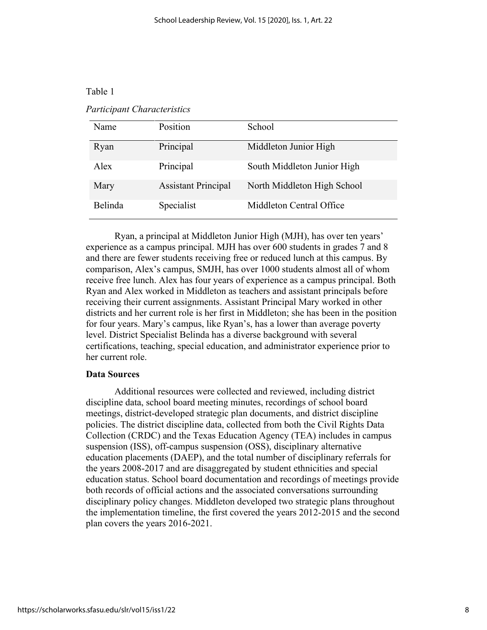# Table 1

### *Participant Characteristics*

| Name    | Position                   | School                      |
|---------|----------------------------|-----------------------------|
| Ryan    | Principal                  | Middleton Junior High       |
| Alex    | Principal                  | South Middleton Junior High |
| Mary    | <b>Assistant Principal</b> | North Middleton High School |
| Belinda | Specialist                 | Middleton Central Office    |

Ryan, a principal at Middleton Junior High (MJH), has over ten years' experience as a campus principal. MJH has over 600 students in grades 7 and 8 and there are fewer students receiving free or reduced lunch at this campus. By comparison, Alex's campus, SMJH, has over 1000 students almost all of whom receive free lunch. Alex has four years of experience as a campus principal. Both Ryan and Alex worked in Middleton as teachers and assistant principals before receiving their current assignments. Assistant Principal Mary worked in other districts and her current role is her first in Middleton; she has been in the position for four years. Mary's campus, like Ryan's, has a lower than average poverty level. District Specialist Belinda has a diverse background with several certifications, teaching, special education, and administrator experience prior to her current role.

#### **Data Sources**

Additional resources were collected and reviewed, including district discipline data, school board meeting minutes, recordings of school board meetings, district-developed strategic plan documents, and district discipline policies. The district discipline data, collected from both the Civil Rights Data Collection (CRDC) and the Texas Education Agency (TEA) includes in campus suspension (ISS), off-campus suspension (OSS), disciplinary alternative education placements (DAEP), and the total number of disciplinary referrals for the years 2008-2017 and are disaggregated by student ethnicities and special education status. School board documentation and recordings of meetings provide both records of official actions and the associated conversations surrounding disciplinary policy changes. Middleton developed two strategic plans throughout the implementation timeline, the first covered the years 2012-2015 and the second plan covers the years 2016-2021.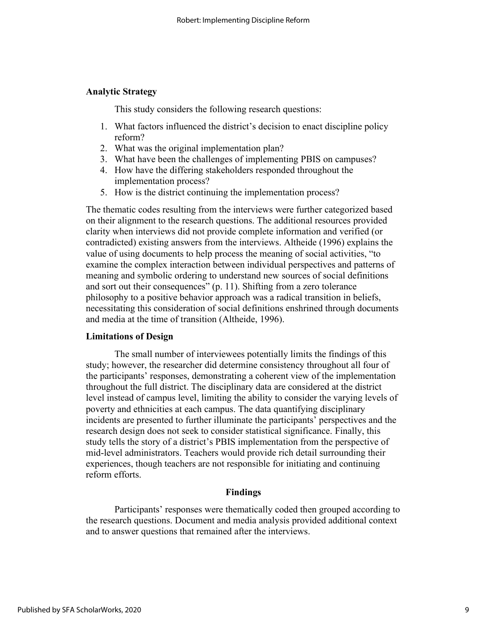# **Analytic Strategy**

This study considers the following research questions:

- 1. What factors influenced the district's decision to enact discipline policy reform?
- 2. What was the original implementation plan?
- 3. What have been the challenges of implementing PBIS on campuses?
- 4. How have the differing stakeholders responded throughout the implementation process?
- 5. How is the district continuing the implementation process?

The thematic codes resulting from the interviews were further categorized based on their alignment to the research questions. The additional resources provided clarity when interviews did not provide complete information and verified (or contradicted) existing answers from the interviews. Altheide (1996) explains the value of using documents to help process the meaning of social activities, "to examine the complex interaction between individual perspectives and patterns of meaning and symbolic ordering to understand new sources of social definitions and sort out their consequences" (p. 11). Shifting from a zero tolerance philosophy to a positive behavior approach was a radical transition in beliefs, necessitating this consideration of social definitions enshrined through documents and media at the time of transition (Altheide, 1996).

#### **Limitations of Design**

The small number of interviewees potentially limits the findings of this study; however, the researcher did determine consistency throughout all four of the participants' responses, demonstrating a coherent view of the implementation throughout the full district. The disciplinary data are considered at the district level instead of campus level, limiting the ability to consider the varying levels of poverty and ethnicities at each campus. The data quantifying disciplinary incidents are presented to further illuminate the participants' perspectives and the research design does not seek to consider statistical significance. Finally, this study tells the story of a district's PBIS implementation from the perspective of mid-level administrators. Teachers would provide rich detail surrounding their experiences, though teachers are not responsible for initiating and continuing reform efforts.

#### **Findings**

Participants' responses were thematically coded then grouped according to the research questions. Document and media analysis provided additional context and to answer questions that remained after the interviews.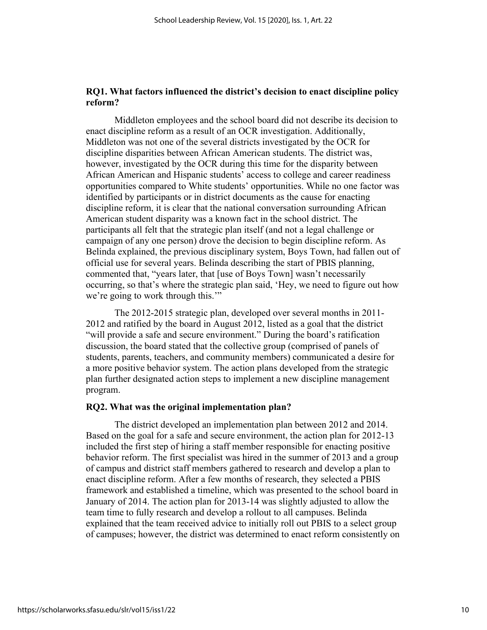# **RQ1. What factors influenced the district's decision to enact discipline policy reform?**

Middleton employees and the school board did not describe its decision to enact discipline reform as a result of an OCR investigation. Additionally, Middleton was not one of the several districts investigated by the OCR for discipline disparities between African American students. The district was, however, investigated by the OCR during this time for the disparity between African American and Hispanic students' access to college and career readiness opportunities compared to White students' opportunities. While no one factor was identified by participants or in district documents as the cause for enacting discipline reform, it is clear that the national conversation surrounding African American student disparity was a known fact in the school district. The participants all felt that the strategic plan itself (and not a legal challenge or campaign of any one person) drove the decision to begin discipline reform. As Belinda explained, the previous disciplinary system, Boys Town, had fallen out of official use for several years. Belinda describing the start of PBIS planning, commented that, "years later, that [use of Boys Town] wasn't necessarily occurring, so that's where the strategic plan said, 'Hey, we need to figure out how we're going to work through this."

The 2012-2015 strategic plan, developed over several months in 2011- 2012 and ratified by the board in August 2012, listed as a goal that the district "will provide a safe and secure environment." During the board's ratification discussion, the board stated that the collective group (comprised of panels of students, parents, teachers, and community members) communicated a desire for a more positive behavior system. The action plans developed from the strategic plan further designated action steps to implement a new discipline management program.

#### **RQ2. What was the original implementation plan?**

The district developed an implementation plan between 2012 and 2014. Based on the goal for a safe and secure environment, the action plan for 2012-13 included the first step of hiring a staff member responsible for enacting positive behavior reform. The first specialist was hired in the summer of 2013 and a group of campus and district staff members gathered to research and develop a plan to enact discipline reform. After a few months of research, they selected a PBIS framework and established a timeline, which was presented to the school board in January of 2014. The action plan for 2013-14 was slightly adjusted to allow the team time to fully research and develop a rollout to all campuses. Belinda explained that the team received advice to initially roll out PBIS to a select group of campuses; however, the district was determined to enact reform consistently on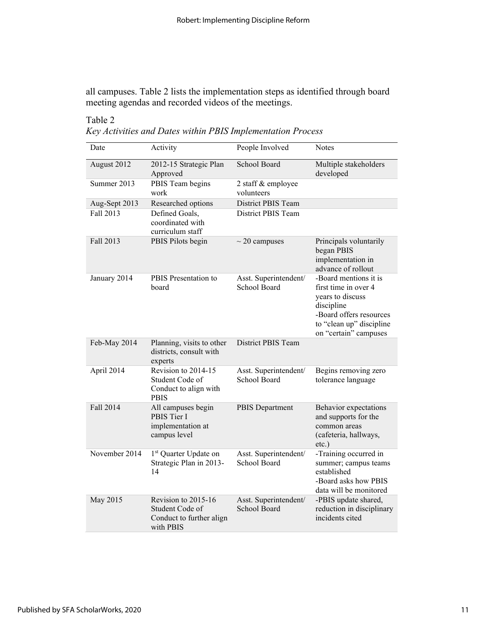all campuses. Table 2 lists the implementation steps as identified through board meeting agendas and recorded videos of the meetings.

# Table 2

*Key Activities and Dates within PBIS Implementation Process*

| Date          | Activity                                                                        | People Involved                              | <b>Notes</b>                                                                                                                                                    |
|---------------|---------------------------------------------------------------------------------|----------------------------------------------|-----------------------------------------------------------------------------------------------------------------------------------------------------------------|
| August 2012   | 2012-15 Strategic Plan<br>Approved                                              | School Board                                 | Multiple stakeholders<br>developed                                                                                                                              |
| Summer 2013   | PBIS Team begins<br>work                                                        | 2 staff & employee<br>volunteers             |                                                                                                                                                                 |
| Aug-Sept 2013 | Researched options                                                              | <b>District PBIS Team</b>                    |                                                                                                                                                                 |
| Fall 2013     | Defined Goals,<br>coordinated with<br>curriculum staff                          | <b>District PBIS Team</b>                    |                                                                                                                                                                 |
| Fall 2013     | PBIS Pilots begin                                                               | $\sim$ 20 campuses                           | Principals voluntarily<br>began PBIS<br>implementation in<br>advance of rollout                                                                                 |
| January 2014  | PBIS Presentation to<br>board                                                   | Asst. Superintendent/<br><b>School Board</b> | -Board mentions it is<br>first time in over 4<br>years to discuss<br>discipline<br>-Board offers resources<br>to "clean up" discipline<br>on "certain" campuses |
| Feb-May 2014  | Planning, visits to other<br>districts, consult with<br>experts                 | District PBIS Team                           |                                                                                                                                                                 |
| April 2014    | Revision to 2014-15<br>Student Code of<br>Conduct to align with<br><b>PBIS</b>  | Asst. Superintendent/<br>School Board        | Begins removing zero<br>tolerance language                                                                                                                      |
| Fall 2014     | All campuses begin<br>PBIS Tier I<br>implementation at<br>campus level          | PBIS Department                              | Behavior expectations<br>and supports for the<br>common areas<br>(cafeteria, hallways,<br>$etc.$ )                                                              |
| November 2014 | 1 <sup>st</sup> Quarter Update on<br>Strategic Plan in 2013-<br>14              | Asst. Superintendent/<br>School Board        | -Training occurred in<br>summer; campus teams<br>established<br>-Board asks how PBIS<br>data will be monitored                                                  |
| May 2015      | Revision to 2015-16<br>Student Code of<br>Conduct to further align<br>with PBIS | Asst. Superintendent/<br>School Board        | -PBIS update shared,<br>reduction in disciplinary<br>incidents cited                                                                                            |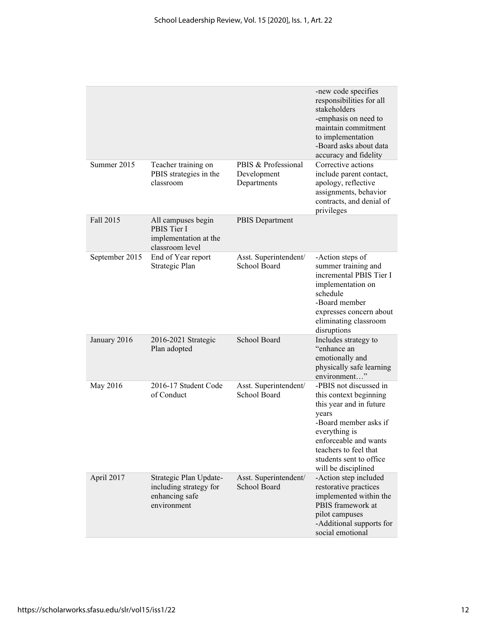|                |                                                                                   |                                                   | -new code specifies<br>responsibilities for all<br>stakeholders<br>-emphasis on need to<br>maintain commitment<br>to implementation<br>-Board asks about data<br>accuracy and fidelity                                             |
|----------------|-----------------------------------------------------------------------------------|---------------------------------------------------|------------------------------------------------------------------------------------------------------------------------------------------------------------------------------------------------------------------------------------|
| Summer 2015    | Teacher training on<br>PBIS strategies in the<br>classroom                        | PBIS & Professional<br>Development<br>Departments | Corrective actions<br>include parent contact,<br>apology, reflective<br>assignments, behavior<br>contracts, and denial of<br>privileges                                                                                            |
| Fall 2015      | All campuses begin<br>PBIS Tier I<br>implementation at the<br>classroom level     | <b>PBIS</b> Department                            |                                                                                                                                                                                                                                    |
| September 2015 | End of Year report<br>Strategic Plan                                              | Asst. Superintendent/<br>School Board             | -Action steps of<br>summer training and<br>incremental PBIS Tier I<br>implementation on<br>schedule<br>-Board member<br>expresses concern about<br>eliminating classroom<br>disruptions                                            |
| January 2016   | 2016-2021 Strategic<br>Plan adopted                                               | School Board                                      | Includes strategy to<br>"enhance an<br>emotionally and<br>physically safe learning<br>environment"                                                                                                                                 |
| May 2016       | 2016-17 Student Code<br>of Conduct                                                | Asst. Superintendent/<br>School Board             | -PBIS not discussed in<br>this context beginning<br>this year and in future<br>years<br>-Board member asks if<br>everything is<br>enforceable and wants<br>teachers to feel that<br>students sent to office<br>will be disciplined |
| April 2017     | Strategic Plan Update-<br>including strategy for<br>enhancing safe<br>environment | Asst. Superintendent/<br>School Board             | -Action step included<br>restorative practices<br>implemented within the<br>PBIS framework at<br>pilot campuses<br>-Additional supports for<br>social emotional                                                                    |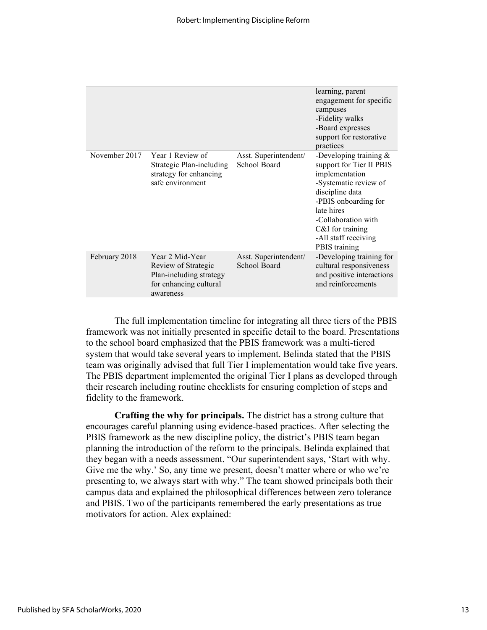|               |                                                                                                          |                                       | learning, parent<br>engagement for specific<br>campuses<br>-Fidelity walks<br>-Board expresses<br>support for restorative<br>practices                                                                                                        |
|---------------|----------------------------------------------------------------------------------------------------------|---------------------------------------|-----------------------------------------------------------------------------------------------------------------------------------------------------------------------------------------------------------------------------------------------|
| November 2017 | Year 1 Review of<br><b>Strategic Plan-including</b><br>strategy for enhancing<br>safe environment        | Asst. Superintendent/<br>School Board | -Developing training $\&$<br>support for Tier II PBIS<br>implementation<br>-Systematic review of<br>discipline data<br>-PBIS onboarding for<br>late hires<br>-Collaboration with<br>C&I for training<br>-All staff receiving<br>PBIS training |
| February 2018 | Year 2 Mid-Year<br>Review of Strategic<br>Plan-including strategy<br>for enhancing cultural<br>awareness | Asst. Superintendent/<br>School Board | -Developing training for<br>cultural responsiveness<br>and positive interactions<br>and reinforcements                                                                                                                                        |

The full implementation timeline for integrating all three tiers of the PBIS framework was not initially presented in specific detail to the board. Presentations to the school board emphasized that the PBIS framework was a multi-tiered system that would take several years to implement. Belinda stated that the PBIS team was originally advised that full Tier I implementation would take five years. The PBIS department implemented the original Tier I plans as developed through their research including routine checklists for ensuring completion of steps and fidelity to the framework.

**Crafting the why for principals.** The district has a strong culture that encourages careful planning using evidence-based practices. After selecting the PBIS framework as the new discipline policy, the district's PBIS team began planning the introduction of the reform to the principals. Belinda explained that they began with a needs assessment. "Our superintendent says, 'Start with why. Give me the why.' So, any time we present, doesn't matter where or who we're presenting to, we always start with why." The team showed principals both their campus data and explained the philosophical differences between zero tolerance and PBIS. Two of the participants remembered the early presentations as true motivators for action. Alex explained: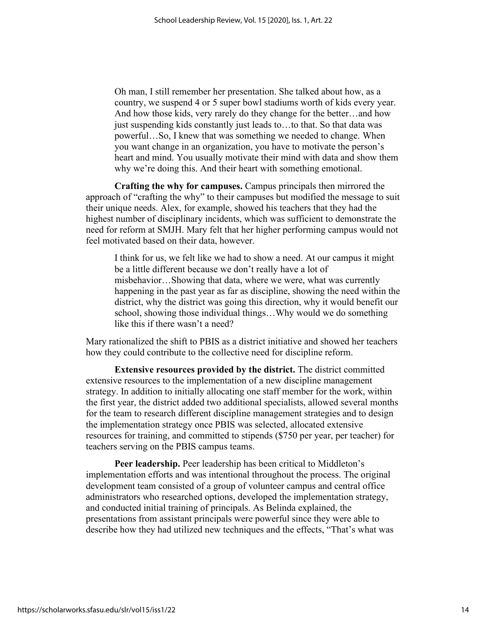Oh man, I still remember her presentation. She talked about how, as a country, we suspend 4 or 5 super bowl stadiums worth of kids every year. And how those kids, very rarely do they change for the better…and how just suspending kids constantly just leads to…to that. So that data was powerful…So, I knew that was something we needed to change. When you want change in an organization, you have to motivate the person's heart and mind. You usually motivate their mind with data and show them why we're doing this. And their heart with something emotional.

**Crafting the why for campuses.** Campus principals then mirrored the approach of "crafting the why" to their campuses but modified the message to suit their unique needs. Alex, for example, showed his teachers that they had the highest number of disciplinary incidents, which was sufficient to demonstrate the need for reform at SMJH. Mary felt that her higher performing campus would not feel motivated based on their data, however.

I think for us, we felt like we had to show a need. At our campus it might be a little different because we don't really have a lot of misbehavior…Showing that data, where we were, what was currently happening in the past year as far as discipline, showing the need within the district, why the district was going this direction, why it would benefit our school, showing those individual things…Why would we do something like this if there wasn't a need?

Mary rationalized the shift to PBIS as a district initiative and showed her teachers how they could contribute to the collective need for discipline reform.

**Extensive resources provided by the district.** The district committed extensive resources to the implementation of a new discipline management strategy. In addition to initially allocating one staff member for the work, within the first year, the district added two additional specialists, allowed several months for the team to research different discipline management strategies and to design the implementation strategy once PBIS was selected, allocated extensive resources for training, and committed to stipends (\$750 per year, per teacher) for teachers serving on the PBIS campus teams.

**Peer leadership.** Peer leadership has been critical to Middleton's implementation efforts and was intentional throughout the process. The original development team consisted of a group of volunteer campus and central office administrators who researched options, developed the implementation strategy, and conducted initial training of principals. As Belinda explained, the presentations from assistant principals were powerful since they were able to describe how they had utilized new techniques and the effects, "That's what was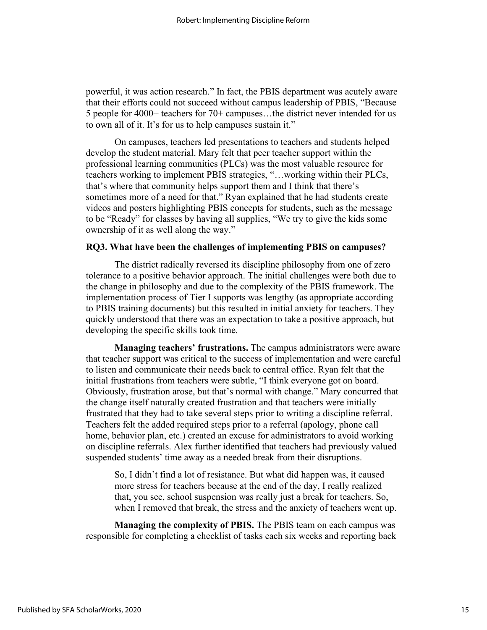powerful, it was action research." In fact, the PBIS department was acutely aware that their efforts could not succeed without campus leadership of PBIS, "Because 5 people for 4000+ teachers for 70+ campuses…the district never intended for us to own all of it. It's for us to help campuses sustain it."

On campuses, teachers led presentations to teachers and students helped develop the student material. Mary felt that peer teacher support within the professional learning communities (PLCs) was the most valuable resource for teachers working to implement PBIS strategies, "…working within their PLCs, that's where that community helps support them and I think that there's sometimes more of a need for that." Ryan explained that he had students create videos and posters highlighting PBIS concepts for students, such as the message to be "Ready" for classes by having all supplies, "We try to give the kids some ownership of it as well along the way."

# **RQ3. What have been the challenges of implementing PBIS on campuses?**

The district radically reversed its discipline philosophy from one of zero tolerance to a positive behavior approach. The initial challenges were both due to the change in philosophy and due to the complexity of the PBIS framework. The implementation process of Tier I supports was lengthy (as appropriate according to PBIS training documents) but this resulted in initial anxiety for teachers. They quickly understood that there was an expectation to take a positive approach, but developing the specific skills took time.

**Managing teachers' frustrations.** The campus administrators were aware that teacher support was critical to the success of implementation and were careful to listen and communicate their needs back to central office. Ryan felt that the initial frustrations from teachers were subtle, "I think everyone got on board. Obviously, frustration arose, but that's normal with change." Mary concurred that the change itself naturally created frustration and that teachers were initially frustrated that they had to take several steps prior to writing a discipline referral. Teachers felt the added required steps prior to a referral (apology, phone call home, behavior plan, etc.) created an excuse for administrators to avoid working on discipline referrals. Alex further identified that teachers had previously valued suspended students' time away as a needed break from their disruptions.

So, I didn't find a lot of resistance. But what did happen was, it caused more stress for teachers because at the end of the day, I really realized that, you see, school suspension was really just a break for teachers. So, when I removed that break, the stress and the anxiety of teachers went up.

**Managing the complexity of PBIS.** The PBIS team on each campus was responsible for completing a checklist of tasks each six weeks and reporting back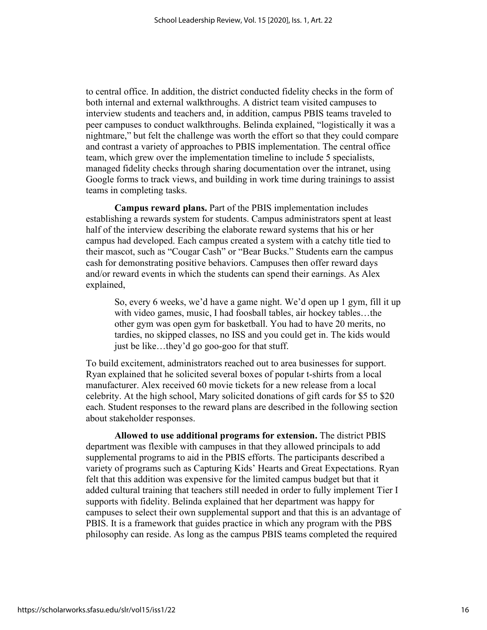to central office. In addition, the district conducted fidelity checks in the form of both internal and external walkthroughs. A district team visited campuses to interview students and teachers and, in addition, campus PBIS teams traveled to peer campuses to conduct walkthroughs. Belinda explained, "logistically it was a nightmare," but felt the challenge was worth the effort so that they could compare and contrast a variety of approaches to PBIS implementation. The central office team, which grew over the implementation timeline to include 5 specialists, managed fidelity checks through sharing documentation over the intranet, using Google forms to track views, and building in work time during trainings to assist teams in completing tasks.

**Campus reward plans.** Part of the PBIS implementation includes establishing a rewards system for students. Campus administrators spent at least half of the interview describing the elaborate reward systems that his or her campus had developed. Each campus created a system with a catchy title tied to their mascot, such as "Cougar Cash" or "Bear Bucks." Students earn the campus cash for demonstrating positive behaviors. Campuses then offer reward days and/or reward events in which the students can spend their earnings. As Alex explained,

So, every 6 weeks, we'd have a game night. We'd open up 1 gym, fill it up with video games, music, I had foosball tables, air hockey tables…the other gym was open gym for basketball. You had to have 20 merits, no tardies, no skipped classes, no ISS and you could get in. The kids would just be like…they'd go goo-goo for that stuff.

To build excitement, administrators reached out to area businesses for support. Ryan explained that he solicited several boxes of popular t-shirts from a local manufacturer. Alex received 60 movie tickets for a new release from a local celebrity. At the high school, Mary solicited donations of gift cards for \$5 to \$20 each. Student responses to the reward plans are described in the following section about stakeholder responses.

**Allowed to use additional programs for extension.** The district PBIS department was flexible with campuses in that they allowed principals to add supplemental programs to aid in the PBIS efforts. The participants described a variety of programs such as Capturing Kids' Hearts and Great Expectations. Ryan felt that this addition was expensive for the limited campus budget but that it added cultural training that teachers still needed in order to fully implement Tier I supports with fidelity. Belinda explained that her department was happy for campuses to select their own supplemental support and that this is an advantage of PBIS. It is a framework that guides practice in which any program with the PBS philosophy can reside. As long as the campus PBIS teams completed the required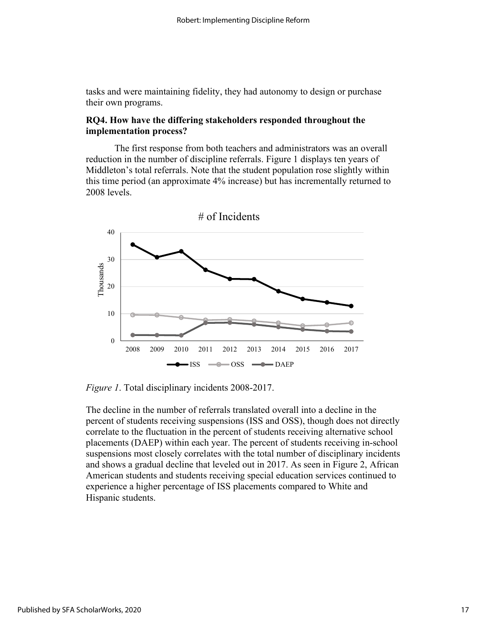tasks and were maintaining fidelity, they had autonomy to design or purchase their own programs.

# **RQ4. How have the differing stakeholders responded throughout the implementation process?**

The first response from both teachers and administrators was an overall reduction in the number of discipline referrals. Figure 1 displays ten years of Middleton's total referrals. Note that the student population rose slightly within this time period (an approximate 4% increase) but has incrementally returned to 2008 levels.



*Figure 1*. Total disciplinary incidents 2008-2017.

The decline in the number of referrals translated overall into a decline in the percent of students receiving suspensions (ISS and OSS), though does not directly correlate to the fluctuation in the percent of students receiving alternative school placements (DAEP) within each year. The percent of students receiving in-school suspensions most closely correlates with the total number of disciplinary incidents and shows a gradual decline that leveled out in 2017. As seen in Figure 2, African American students and students receiving special education services continued to experience a higher percentage of ISS placements compared to White and Hispanic students.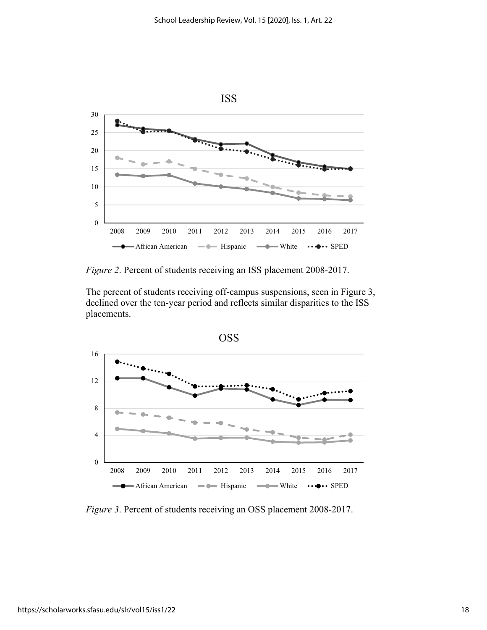

*Figure 2*. Percent of students receiving an ISS placement 2008-2017.

The percent of students receiving off-campus suspensions, seen in Figure 3, declined over the ten-year period and reflects similar disparities to the ISS placements.



*Figure 3*. Percent of students receiving an OSS placement 2008-2017.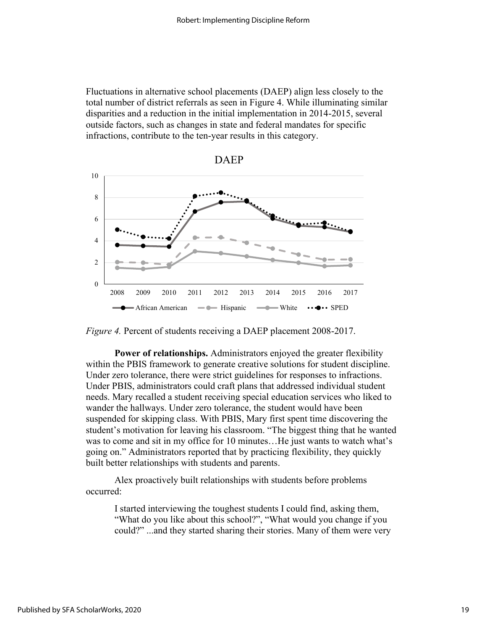Fluctuations in alternative school placements (DAEP) align less closely to the total number of district referrals as seen in Figure 4. While illuminating similar disparities and a reduction in the initial implementation in 2014-2015, several outside factors, such as changes in state and federal mandates for specific infractions, contribute to the ten-year results in this category.





**Power of relationships.** Administrators enjoyed the greater flexibility within the PBIS framework to generate creative solutions for student discipline. Under zero tolerance, there were strict guidelines for responses to infractions. Under PBIS, administrators could craft plans that addressed individual student needs. Mary recalled a student receiving special education services who liked to wander the hallways. Under zero tolerance, the student would have been suspended for skipping class. With PBIS, Mary first spent time discovering the student's motivation for leaving his classroom. "The biggest thing that he wanted was to come and sit in my office for 10 minutes...He just wants to watch what's going on." Administrators reported that by practicing flexibility, they quickly built better relationships with students and parents.

Alex proactively built relationships with students before problems occurred:

> I started interviewing the toughest students I could find, asking them, "What do you like about this school?", "What would you change if you could?" ...and they started sharing their stories. Many of them were very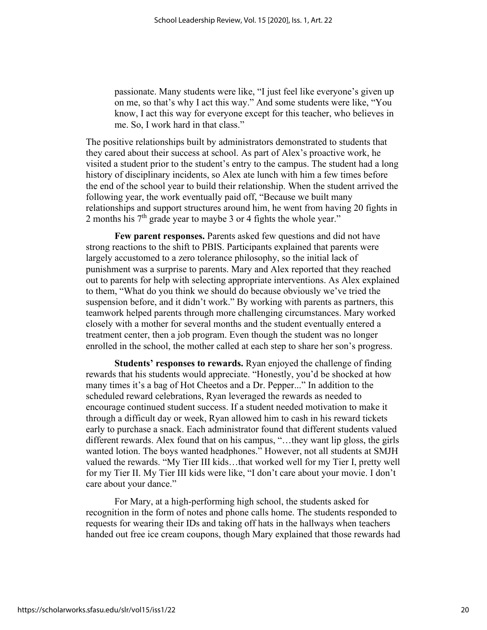passionate. Many students were like, "I just feel like everyone's given up on me, so that's why I act this way." And some students were like, "You know, I act this way for everyone except for this teacher, who believes in me. So, I work hard in that class."

The positive relationships built by administrators demonstrated to students that they cared about their success at school. As part of Alex's proactive work, he visited a student prior to the student's entry to the campus. The student had a long history of disciplinary incidents, so Alex ate lunch with him a few times before the end of the school year to build their relationship. When the student arrived the following year, the work eventually paid off, "Because we built many relationships and support structures around him, he went from having 20 fights in 2 months his  $7<sup>th</sup>$  grade year to maybe 3 or 4 fights the whole year."

**Few parent responses.** Parents asked few questions and did not have strong reactions to the shift to PBIS. Participants explained that parents were largely accustomed to a zero tolerance philosophy, so the initial lack of punishment was a surprise to parents. Mary and Alex reported that they reached out to parents for help with selecting appropriate interventions. As Alex explained to them, "What do you think we should do because obviously we've tried the suspension before, and it didn't work." By working with parents as partners, this teamwork helped parents through more challenging circumstances. Mary worked closely with a mother for several months and the student eventually entered a treatment center, then a job program. Even though the student was no longer enrolled in the school, the mother called at each step to share her son's progress.

**Students' responses to rewards.** Ryan enjoyed the challenge of finding rewards that his students would appreciate. "Honestly, you'd be shocked at how many times it's a bag of Hot Cheetos and a Dr. Pepper..." In addition to the scheduled reward celebrations, Ryan leveraged the rewards as needed to encourage continued student success. If a student needed motivation to make it through a difficult day or week, Ryan allowed him to cash in his reward tickets early to purchase a snack. Each administrator found that different students valued different rewards. Alex found that on his campus, "…they want lip gloss, the girls wanted lotion. The boys wanted headphones." However, not all students at SMJH valued the rewards. "My Tier III kids…that worked well for my Tier I, pretty well for my Tier II. My Tier III kids were like, "I don't care about your movie. I don't care about your dance."

For Mary, at a high-performing high school, the students asked for recognition in the form of notes and phone calls home. The students responded to requests for wearing their IDs and taking off hats in the hallways when teachers handed out free ice cream coupons, though Mary explained that those rewards had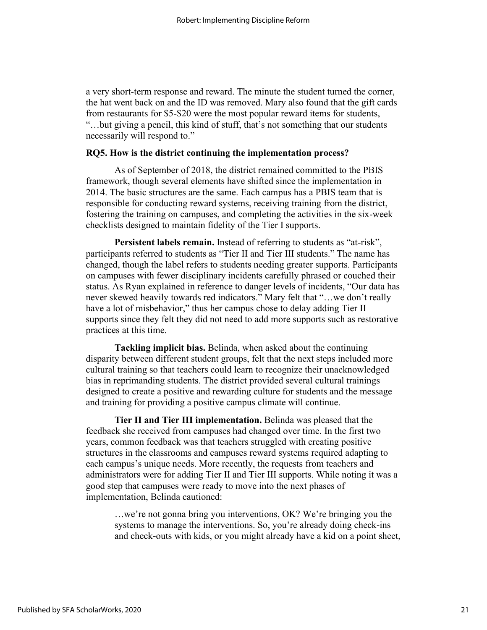a very short-term response and reward. The minute the student turned the corner, the hat went back on and the ID was removed. Mary also found that the gift cards from restaurants for \$5-\$20 were the most popular reward items for students, "…but giving a pencil, this kind of stuff, that's not something that our students necessarily will respond to."

#### **RQ5. How is the district continuing the implementation process?**

As of September of 2018, the district remained committed to the PBIS framework, though several elements have shifted since the implementation in 2014. The basic structures are the same. Each campus has a PBIS team that is responsible for conducting reward systems, receiving training from the district, fostering the training on campuses, and completing the activities in the six-week checklists designed to maintain fidelity of the Tier I supports.

**Persistent labels remain.** Instead of referring to students as "at-risk", participants referred to students as "Tier II and Tier III students." The name has changed, though the label refers to students needing greater supports. Participants on campuses with fewer disciplinary incidents carefully phrased or couched their status. As Ryan explained in reference to danger levels of incidents, "Our data has never skewed heavily towards red indicators." Mary felt that "…we don't really have a lot of misbehavior," thus her campus chose to delay adding Tier II supports since they felt they did not need to add more supports such as restorative practices at this time.

**Tackling implicit bias.** Belinda, when asked about the continuing disparity between different student groups, felt that the next steps included more cultural training so that teachers could learn to recognize their unacknowledged bias in reprimanding students. The district provided several cultural trainings designed to create a positive and rewarding culture for students and the message and training for providing a positive campus climate will continue.

**Tier II and Tier III implementation.** Belinda was pleased that the feedback she received from campuses had changed over time. In the first two years, common feedback was that teachers struggled with creating positive structures in the classrooms and campuses reward systems required adapting to each campus's unique needs. More recently, the requests from teachers and administrators were for adding Tier II and Tier III supports. While noting it was a good step that campuses were ready to move into the next phases of implementation, Belinda cautioned:

…we're not gonna bring you interventions, OK? We're bringing you the systems to manage the interventions. So, you're already doing check-ins and check-outs with kids, or you might already have a kid on a point sheet,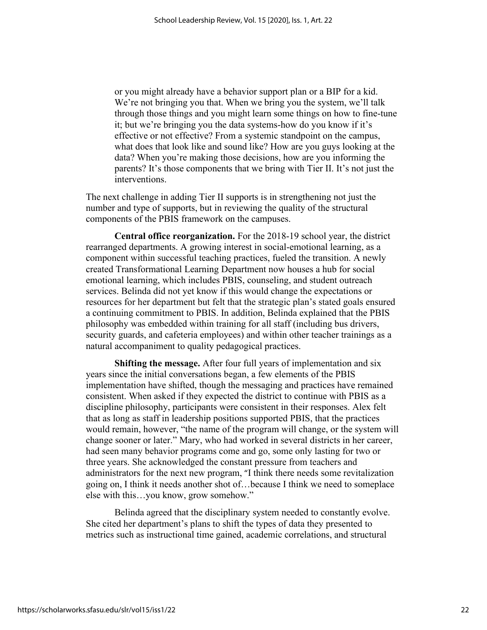or you might already have a behavior support plan or a BIP for a kid. We're not bringing you that. When we bring you the system, we'll talk through those things and you might learn some things on how to fine-tune it; but we're bringing you the data systems-how do you know if it's effective or not effective? From a systemic standpoint on the campus, what does that look like and sound like? How are you guys looking at the data? When you're making those decisions, how are you informing the parents? It's those components that we bring with Tier II. It's not just the interventions.

The next challenge in adding Tier II supports is in strengthening not just the number and type of supports, but in reviewing the quality of the structural components of the PBIS framework on the campuses.

**Central office reorganization.** For the 2018-19 school year, the district rearranged departments. A growing interest in social-emotional learning, as a component within successful teaching practices, fueled the transition. A newly created Transformational Learning Department now houses a hub for social emotional learning, which includes PBIS, counseling, and student outreach services. Belinda did not yet know if this would change the expectations or resources for her department but felt that the strategic plan's stated goals ensured a continuing commitment to PBIS. In addition, Belinda explained that the PBIS philosophy was embedded within training for all staff (including bus drivers, security guards, and cafeteria employees) and within other teacher trainings as a natural accompaniment to quality pedagogical practices.

**Shifting the message.** After four full years of implementation and six years since the initial conversations began, a few elements of the PBIS implementation have shifted, though the messaging and practices have remained consistent. When asked if they expected the district to continue with PBIS as a discipline philosophy, participants were consistent in their responses. Alex felt that as long as staff in leadership positions supported PBIS, that the practices would remain, however, "the name of the program will change, or the system will change sooner or later." Mary, who had worked in several districts in her career, had seen many behavior programs come and go, some only lasting for two or three years. She acknowledged the constant pressure from teachers and administrators for the next new program, "I think there needs some revitalization going on, I think it needs another shot of…because I think we need to someplace else with this…you know, grow somehow."

Belinda agreed that the disciplinary system needed to constantly evolve. She cited her department's plans to shift the types of data they presented to metrics such as instructional time gained, academic correlations, and structural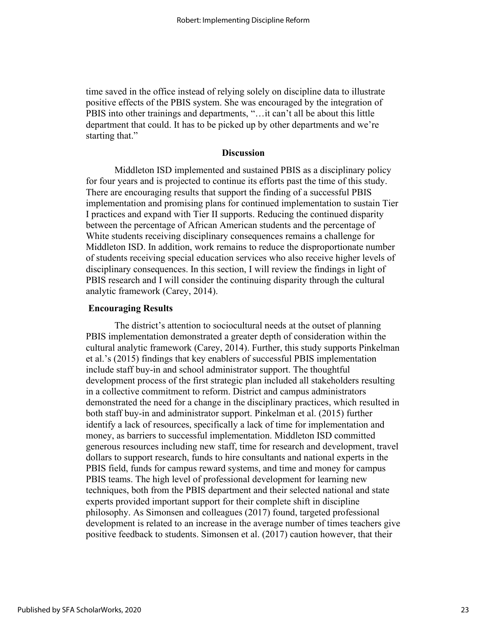time saved in the office instead of relying solely on discipline data to illustrate positive effects of the PBIS system. She was encouraged by the integration of PBIS into other trainings and departments, "…it can't all be about this little department that could. It has to be picked up by other departments and we're starting that."

# **Discussion**

Middleton ISD implemented and sustained PBIS as a disciplinary policy for four years and is projected to continue its efforts past the time of this study. There are encouraging results that support the finding of a successful PBIS implementation and promising plans for continued implementation to sustain Tier I practices and expand with Tier II supports. Reducing the continued disparity between the percentage of African American students and the percentage of White students receiving disciplinary consequences remains a challenge for Middleton ISD. In addition, work remains to reduce the disproportionate number of students receiving special education services who also receive higher levels of disciplinary consequences. In this section, I will review the findings in light of PBIS research and I will consider the continuing disparity through the cultural analytic framework (Carey, 2014).

#### **Encouraging Results**

The district's attention to sociocultural needs at the outset of planning PBIS implementation demonstrated a greater depth of consideration within the cultural analytic framework (Carey, 2014). Further, this study supports Pinkelman et al.'s (2015) findings that key enablers of successful PBIS implementation include staff buy-in and school administrator support. The thoughtful development process of the first strategic plan included all stakeholders resulting in a collective commitment to reform. District and campus administrators demonstrated the need for a change in the disciplinary practices, which resulted in both staff buy-in and administrator support. Pinkelman et al. (2015) further identify a lack of resources, specifically a lack of time for implementation and money, as barriers to successful implementation. Middleton ISD committed generous resources including new staff, time for research and development, travel dollars to support research, funds to hire consultants and national experts in the PBIS field, funds for campus reward systems, and time and money for campus PBIS teams. The high level of professional development for learning new techniques, both from the PBIS department and their selected national and state experts provided important support for their complete shift in discipline philosophy. As Simonsen and colleagues (2017) found, targeted professional development is related to an increase in the average number of times teachers give positive feedback to students. Simonsen et al. (2017) caution however, that their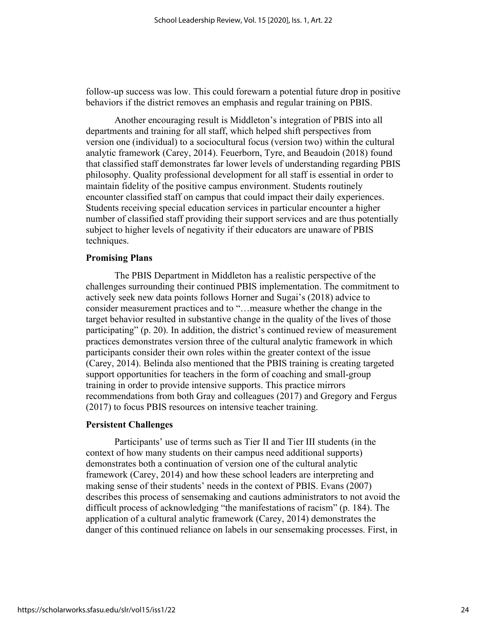follow-up success was low. This could forewarn a potential future drop in positive behaviors if the district removes an emphasis and regular training on PBIS.

Another encouraging result is Middleton's integration of PBIS into all departments and training for all staff, which helped shift perspectives from version one (individual) to a sociocultural focus (version two) within the cultural analytic framework (Carey, 2014). Feuerborn, Tyre, and Beaudoin (2018) found that classified staff demonstrates far lower levels of understanding regarding PBIS philosophy. Quality professional development for all staff is essential in order to maintain fidelity of the positive campus environment. Students routinely encounter classified staff on campus that could impact their daily experiences. Students receiving special education services in particular encounter a higher number of classified staff providing their support services and are thus potentially subject to higher levels of negativity if their educators are unaware of PBIS techniques.

#### **Promising Plans**

The PBIS Department in Middleton has a realistic perspective of the challenges surrounding their continued PBIS implementation. The commitment to actively seek new data points follows Horner and Sugai's (2018) advice to consider measurement practices and to "…measure whether the change in the target behavior resulted in substantive change in the quality of the lives of those participating" (p. 20). In addition, the district's continued review of measurement practices demonstrates version three of the cultural analytic framework in which participants consider their own roles within the greater context of the issue (Carey, 2014). Belinda also mentioned that the PBIS training is creating targeted support opportunities for teachers in the form of coaching and small-group training in order to provide intensive supports. This practice mirrors recommendations from both Gray and colleagues (2017) and Gregory and Fergus (2017) to focus PBIS resources on intensive teacher training.

#### **Persistent Challenges**

Participants' use of terms such as Tier II and Tier III students (in the context of how many students on their campus need additional supports) demonstrates both a continuation of version one of the cultural analytic framework (Carey, 2014) and how these school leaders are interpreting and making sense of their students' needs in the context of PBIS. Evans (2007) describes this process of sensemaking and cautions administrators to not avoid the difficult process of acknowledging "the manifestations of racism" (p. 184). The application of a cultural analytic framework (Carey, 2014) demonstrates the danger of this continued reliance on labels in our sensemaking processes. First, in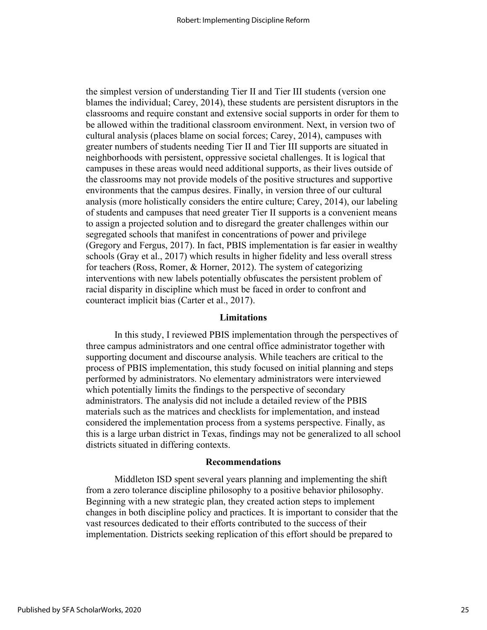the simplest version of understanding Tier II and Tier III students (version one blames the individual; Carey, 2014), these students are persistent disruptors in the classrooms and require constant and extensive social supports in order for them to be allowed within the traditional classroom environment. Next, in version two of cultural analysis (places blame on social forces; Carey, 2014), campuses with greater numbers of students needing Tier II and Tier III supports are situated in neighborhoods with persistent, oppressive societal challenges. It is logical that campuses in these areas would need additional supports, as their lives outside of the classrooms may not provide models of the positive structures and supportive environments that the campus desires. Finally, in version three of our cultural analysis (more holistically considers the entire culture; Carey, 2014), our labeling of students and campuses that need greater Tier II supports is a convenient means to assign a projected solution and to disregard the greater challenges within our segregated schools that manifest in concentrations of power and privilege (Gregory and Fergus, 2017). In fact, PBIS implementation is far easier in wealthy schools (Gray et al., 2017) which results in higher fidelity and less overall stress for teachers (Ross, Romer, & Horner, 2012). The system of categorizing interventions with new labels potentially obfuscates the persistent problem of racial disparity in discipline which must be faced in order to confront and counteract implicit bias (Carter et al., 2017).

#### **Limitations**

In this study, I reviewed PBIS implementation through the perspectives of three campus administrators and one central office administrator together with supporting document and discourse analysis. While teachers are critical to the process of PBIS implementation, this study focused on initial planning and steps performed by administrators. No elementary administrators were interviewed which potentially limits the findings to the perspective of secondary administrators. The analysis did not include a detailed review of the PBIS materials such as the matrices and checklists for implementation, and instead considered the implementation process from a systems perspective. Finally, as this is a large urban district in Texas, findings may not be generalized to all school districts situated in differing contexts.

#### **Recommendations**

Middleton ISD spent several years planning and implementing the shift from a zero tolerance discipline philosophy to a positive behavior philosophy. Beginning with a new strategic plan, they created action steps to implement changes in both discipline policy and practices. It is important to consider that the vast resources dedicated to their efforts contributed to the success of their implementation. Districts seeking replication of this effort should be prepared to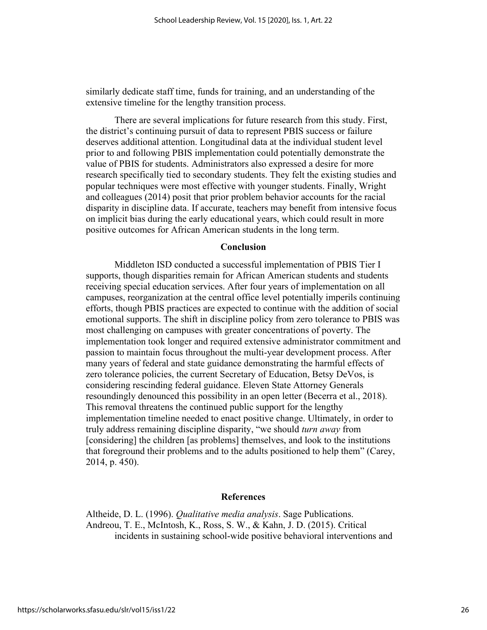similarly dedicate staff time, funds for training, and an understanding of the extensive timeline for the lengthy transition process.

There are several implications for future research from this study. First, the district's continuing pursuit of data to represent PBIS success or failure deserves additional attention. Longitudinal data at the individual student level prior to and following PBIS implementation could potentially demonstrate the value of PBIS for students. Administrators also expressed a desire for more research specifically tied to secondary students. They felt the existing studies and popular techniques were most effective with younger students. Finally, Wright and colleagues (2014) posit that prior problem behavior accounts for the racial disparity in discipline data. If accurate, teachers may benefit from intensive focus on implicit bias during the early educational years, which could result in more positive outcomes for African American students in the long term.

#### **Conclusion**

Middleton ISD conducted a successful implementation of PBIS Tier I supports, though disparities remain for African American students and students receiving special education services. After four years of implementation on all campuses, reorganization at the central office level potentially imperils continuing efforts, though PBIS practices are expected to continue with the addition of social emotional supports. The shift in discipline policy from zero tolerance to PBIS was most challenging on campuses with greater concentrations of poverty. The implementation took longer and required extensive administrator commitment and passion to maintain focus throughout the multi-year development process. After many years of federal and state guidance demonstrating the harmful effects of zero tolerance policies, the current Secretary of Education, Betsy DeVos, is considering rescinding federal guidance. Eleven State Attorney Generals resoundingly denounced this possibility in an open letter (Becerra et al., 2018). This removal threatens the continued public support for the lengthy implementation timeline needed to enact positive change. Ultimately, in order to truly address remaining discipline disparity, "we should *turn away* from [considering] the children [as problems] themselves, and look to the institutions that foreground their problems and to the adults positioned to help them" (Carey, 2014, p. 450).

#### **References**

Altheide, D. L. (1996). *Qualitative media analysis*. Sage Publications. Andreou, T. E., McIntosh, K., Ross, S. W., & Kahn, J. D. (2015). Critical incidents in sustaining school-wide positive behavioral interventions and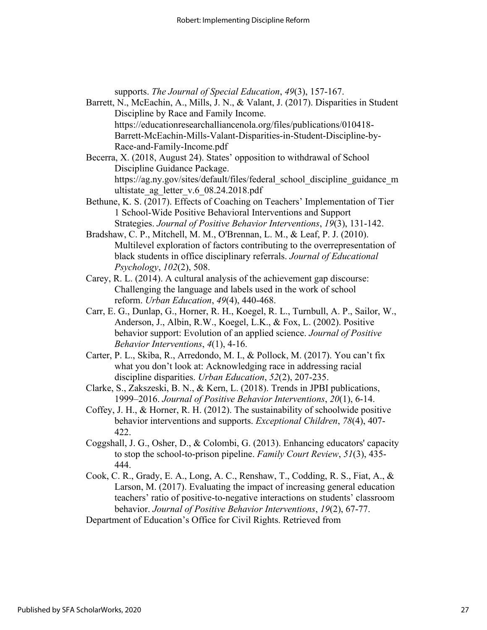supports. *The Journal of Special Education*, *49*(3), 157-167.

- Barrett, N., McEachin, A., Mills, J. N., & Valant, J. (2017). Disparities in Student Discipline by Race and Family Income. https://educationresearchalliancenola.org/files/publications/010418- Barrett-McEachin-Mills-Valant-Disparities-in-Student-Discipline-by-Race-and-Family-Income.pdf
- Becerra, X. (2018, August 24). States' opposition to withdrawal of School Discipline Guidance Package. https://ag.ny.gov/sites/default/files/federal\_school\_discipline\_guidance\_m ultistate ag letter v.6 08.24.2018.pdf
- Bethune, K. S. (2017). Effects of Coaching on Teachers' Implementation of Tier 1 School-Wide Positive Behavioral Interventions and Support Strategies. *Journal of Positive Behavior Interventions*, *19*(3), 131-142.
- Bradshaw, C. P., Mitchell, M. M., O'Brennan, L. M., & Leaf, P. J. (2010). Multilevel exploration of factors contributing to the overrepresentation of black students in office disciplinary referrals. *Journal of Educational Psychology*, *102*(2), 508.
- Carey, R. L. (2014). A cultural analysis of the achievement gap discourse: Challenging the language and labels used in the work of school reform. *Urban Education*, *49*(4), 440-468.
- Carr, E. G., Dunlap, G., Horner, R. H., Koegel, R. L., Turnbull, A. P., Sailor, W., Anderson, J., Albin, R.W., Koegel, L.K., & Fox, L. (2002). Positive behavior support: Evolution of an applied science. *Journal of Positive Behavior Interventions*, *4*(1), 4-16.
- Carter, P. L., Skiba, R., Arredondo, M. I., & Pollock, M. (2017). You can't fix what you don't look at: Acknowledging race in addressing racial discipline disparities. *Urban Education*, *52*(2), 207-235.
- Clarke, S., Zakszeski, B. N., & Kern, L. (2018). Trends in JPBI publications, 1999–2016. *Journal of Positive Behavior Interventions*, *20*(1), 6-14.
- Coffey, J. H., & Horner, R. H. (2012). The sustainability of schoolwide positive behavior interventions and supports. *Exceptional Children*, *78*(4), 407- 422.
- Coggshall, J. G., Osher, D., & Colombi, G. (2013). Enhancing educators' capacity to stop the school-to-prison pipeline. *Family Court Review*, *51*(3), 435- 444.
- Cook, C. R., Grady, E. A., Long, A. C., Renshaw, T., Codding, R. S., Fiat, A., & Larson, M. (2017). Evaluating the impact of increasing general education teachers' ratio of positive-to-negative interactions on students' classroom behavior. *Journal of Positive Behavior Interventions*, *19*(2), 67-77.

Department of Education's Office for Civil Rights. Retrieved from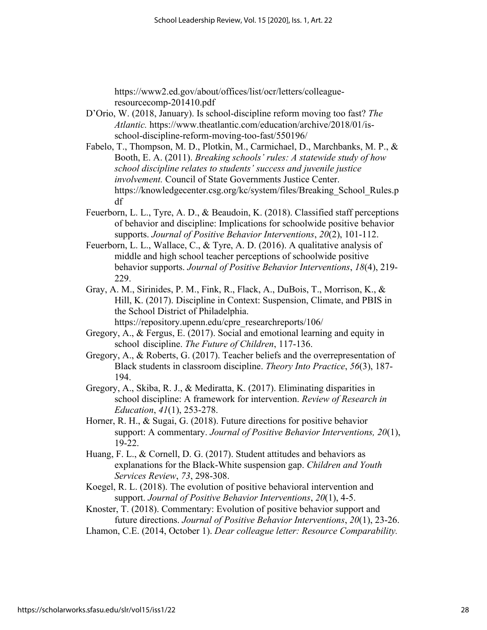https://www2.ed.gov/about/offices/list/ocr/letters/colleagueresourcecomp-201410.pdf

- D'Orio, W. (2018, January). Is school-discipline reform moving too fast? *The Atlantic.* https://www.theatlantic.com/education/archive/2018/01/isschool-discipline-reform-moving-too-fast/550196/
- Fabelo, T., Thompson, M. D., Plotkin, M., Carmichael, D., Marchbanks, M. P., & Booth, E. A. (2011). *Breaking schools' rules: A statewide study of how school discipline relates to students' success and juvenile justice involvement.* Council of State Governments Justice Center. https://knowledgecenter.csg.org/kc/system/files/Breaking\_School\_Rules.p df
- Feuerborn, L. L., Tyre, A. D., & Beaudoin, K. (2018). Classified staff perceptions of behavior and discipline: Implications for schoolwide positive behavior supports. *Journal of Positive Behavior Interventions*, *20*(2), 101-112.
- Feuerborn, L. L., Wallace, C., & Tyre, A. D. (2016). A qualitative analysis of middle and high school teacher perceptions of schoolwide positive behavior supports. *Journal of Positive Behavior Interventions*, *18*(4), 219- 229.
- Gray, A. M., Sirinides, P. M., Fink, R., Flack, A., DuBois, T., Morrison, K., & Hill, K. (2017). Discipline in Context: Suspension, Climate, and PBIS in the School District of Philadelphia. https://repository.upenn.edu/cpre\_researchreports/106/
- Gregory, A., & Fergus, E. (2017). Social and emotional learning and equity in school discipline. *The Future of Children*, 117-136.
- Gregory, A., & Roberts, G. (2017). Teacher beliefs and the overrepresentation of Black students in classroom discipline. *Theory Into Practice*, *56*(3), 187- 194.
- Gregory, A., Skiba, R. J., & Mediratta, K. (2017). Eliminating disparities in school discipline: A framework for intervention. *Review of Research in Education*, *41*(1), 253-278.
- Horner, R. H., & Sugai, G. (2018). Future directions for positive behavior support: A commentary. *Journal of Positive Behavior Interventions, 20*(1), 19-22.
- Huang, F. L., & Cornell, D. G. (2017). Student attitudes and behaviors as explanations for the Black-White suspension gap. *Children and Youth Services Review*, *73*, 298-308.
- Koegel, R. L. (2018). The evolution of positive behavioral intervention and support. *Journal of Positive Behavior Interventions*, *20*(1), 4-5.

Knoster, T. (2018). Commentary: Evolution of positive behavior support and future directions. *Journal of Positive Behavior Interventions*, *20*(1), 23-26.

Lhamon, C.E. (2014, October 1). *Dear colleague letter: Resource Comparability.*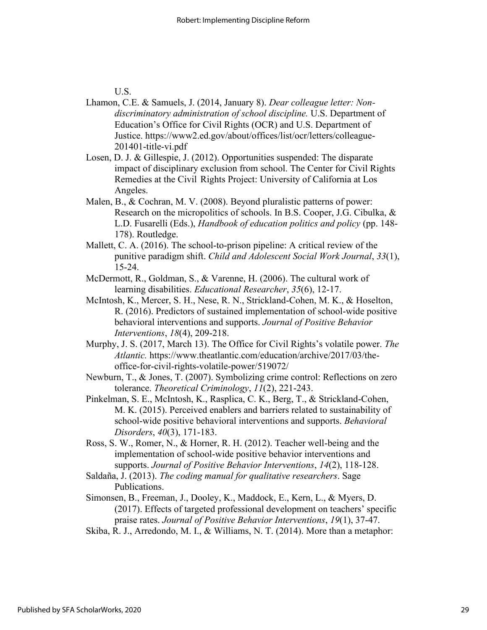U.S.

- Lhamon, C.E. & Samuels, J. (2014, January 8). *Dear colleague letter: Nondiscriminatory administration of school discipline.* U.S. Department of Education's Office for Civil Rights (OCR) and U.S. Department of Justice. https://www2.ed.gov/about/offices/list/ocr/letters/colleague-201401-title-vi.pdf
- Losen, D. J. & Gillespie, J. (2012). Opportunities suspended: The disparate impact of disciplinary exclusion from school. The Center for Civil Rights Remedies at the Civil Rights Project: University of California at Los Angeles.
- Malen, B., & Cochran, M. V. (2008). Beyond pluralistic patterns of power: Research on the micropolitics of schools. In B.S. Cooper, J.G. Cibulka, & L.D. Fusarelli (Eds.), *Handbook of education politics and policy* (pp. 148- 178). Routledge.
- Mallett, C. A. (2016). The school-to-prison pipeline: A critical review of the punitive paradigm shift. *Child and Adolescent Social Work Journal*, *33*(1), 15-24.
- McDermott, R., Goldman, S., & Varenne, H. (2006). The cultural work of learning disabilities. *Educational Researcher*, *35*(6), 12-17.
- McIntosh, K., Mercer, S. H., Nese, R. N., Strickland-Cohen, M. K., & Hoselton, R. (2016). Predictors of sustained implementation of school-wide positive behavioral interventions and supports. *Journal of Positive Behavior Interventions*, *18*(4), 209-218.
- Murphy, J. S. (2017, March 13). The Office for Civil Rights's volatile power. *The Atlantic.* https://www.theatlantic.com/education/archive/2017/03/theoffice-for-civil-rights-volatile-power/519072/
- Newburn, T., & Jones, T. (2007). Symbolizing crime control: Reflections on zero tolerance. *Theoretical Criminology*, *11*(2), 221-243.
- Pinkelman, S. E., McIntosh, K., Rasplica, C. K., Berg, T., & Strickland-Cohen, M. K. (2015). Perceived enablers and barriers related to sustainability of school-wide positive behavioral interventions and supports. *Behavioral Disorders*, *40*(3), 171-183.
- Ross, S. W., Romer, N., & Horner, R. H. (2012). Teacher well-being and the implementation of school-wide positive behavior interventions and supports. *Journal of Positive Behavior Interventions*, *14*(2), 118-128.
- Saldaña, J. (2013). *The coding manual for qualitative researchers*. Sage Publications.
- Simonsen, B., Freeman, J., Dooley, K., Maddock, E., Kern, L., & Myers, D. (2017). Effects of targeted professional development on teachers' specific praise rates. *Journal of Positive Behavior Interventions*, *19*(1), 37-47.
- Skiba, R. J., Arredondo, M. I., & Williams, N. T. (2014). More than a metaphor: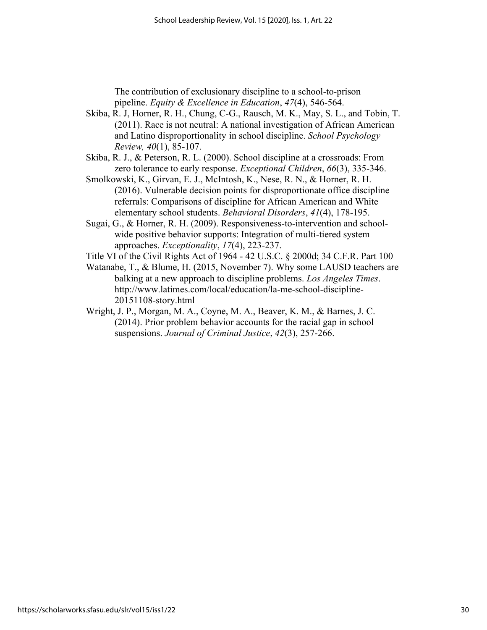The contribution of exclusionary discipline to a school-to-prison pipeline. *Equity & Excellence in Education*, *47*(4), 546-564.

- Skiba, R. J, Horner, R. H., Chung, C-G., Rausch, M. K., May, S. L., and Tobin, T. (2011). Race is not neutral: A national investigation of African American and Latino disproportionality in school discipline. *School Psychology Review, 40*(1), 85-107.
- Skiba, R. J., & Peterson, R. L. (2000). School discipline at a crossroads: From zero tolerance to early response. *Exceptional Children*, *66*(3), 335-346.
- Smolkowski, K., Girvan, E. J., McIntosh, K., Nese, R. N., & Horner, R. H. (2016). Vulnerable decision points for disproportionate office discipline referrals: Comparisons of discipline for African American and White elementary school students. *Behavioral Disorders*, *41*(4), 178-195.
- Sugai, G., & Horner, R. H. (2009). Responsiveness-to-intervention and schoolwide positive behavior supports: Integration of multi-tiered system approaches. *Exceptionality*, *17*(4), 223-237.
- Title VI of the Civil Rights Act of 1964 42 U.S.C. § 2000d; 34 C.F.R. Part 100
- Watanabe, T., & Blume, H. (2015, November 7). Why some LAUSD teachers are balking at a new approach to discipline problems. *Los Angeles Times*. http://www.latimes.com/local/education/la-me-school-discipline-20151108-story.html
- Wright, J. P., Morgan, M. A., Coyne, M. A., Beaver, K. M., & Barnes, J. C. (2014). Prior problem behavior accounts for the racial gap in school suspensions. *Journal of Criminal Justice*, *42*(3), 257-266.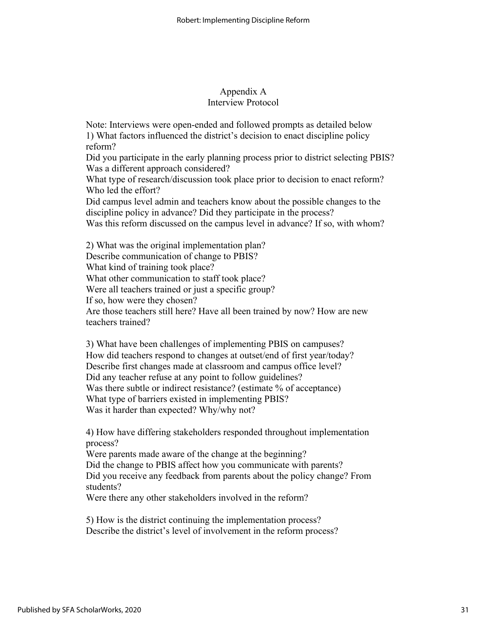# Appendix A Interview Protocol

Note: Interviews were open-ended and followed prompts as detailed below 1) What factors influenced the district's decision to enact discipline policy reform?

Did you participate in the early planning process prior to district selecting PBIS? Was a different approach considered?

What type of research/discussion took place prior to decision to enact reform? Who led the effort?

Did campus level admin and teachers know about the possible changes to the discipline policy in advance? Did they participate in the process?

Was this reform discussed on the campus level in advance? If so, with whom?

2) What was the original implementation plan?

Describe communication of change to PBIS?

What kind of training took place?

What other communication to staff took place?

Were all teachers trained or just a specific group?

If so, how were they chosen?

Are those teachers still here? Have all been trained by now? How are new teachers trained?

3) What have been challenges of implementing PBIS on campuses? How did teachers respond to changes at outset/end of first year/today? Describe first changes made at classroom and campus office level? Did any teacher refuse at any point to follow guidelines? Was there subtle or indirect resistance? (estimate % of acceptance) What type of barriers existed in implementing PBIS? Was it harder than expected? Why/why not?

4) How have differing stakeholders responded throughout implementation process?

Were parents made aware of the change at the beginning? Did the change to PBIS affect how you communicate with parents? Did you receive any feedback from parents about the policy change? From students?

Were there any other stakeholders involved in the reform?

5) How is the district continuing the implementation process? Describe the district's level of involvement in the reform process?